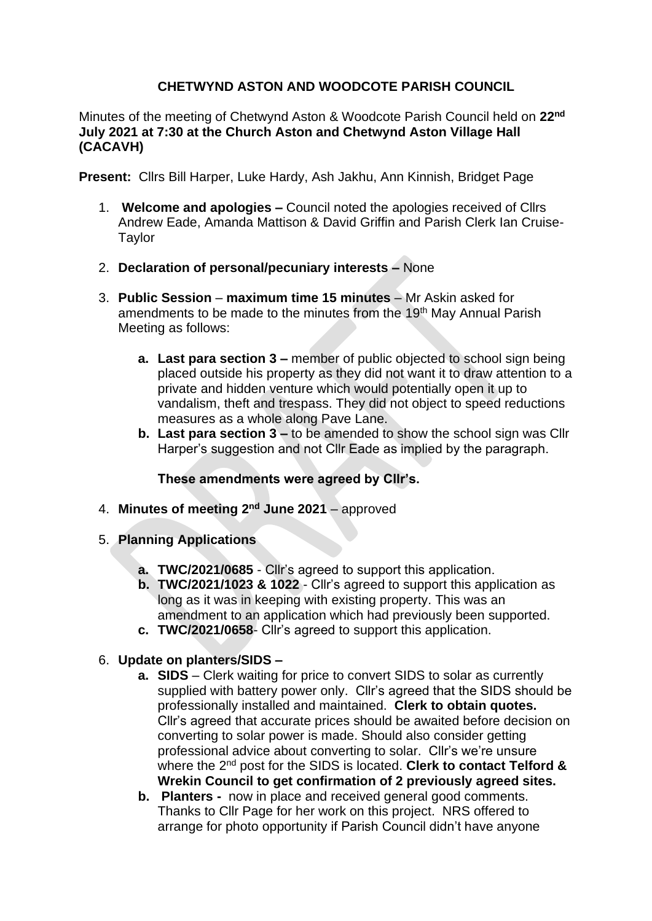## **CHETWYND ASTON AND WOODCOTE PARISH COUNCIL**

Minutes of the meeting of Chetwynd Aston & Woodcote Parish Council held on **22nd July 2021 at 7:30 at the Church Aston and Chetwynd Aston Village Hall (CACAVH)**

**Present:** Cllrs Bill Harper, Luke Hardy, Ash Jakhu, Ann Kinnish, Bridget Page

- 1. **Welcome and apologies –** Council noted the apologies received of Cllrs Andrew Eade, Amanda Mattison & David Griffin and Parish Clerk Ian Cruise-Taylor
- 2. **Declaration of personal/pecuniary interests –** None
- 3. **Public Session maximum time 15 minutes** Mr Askin asked for amendments to be made to the minutes from the 19<sup>th</sup> May Annual Parish Meeting as follows:
	- **a. Last para section 3 –** member of public objected to school sign being placed outside his property as they did not want it to draw attention to a private and hidden venture which would potentially open it up to vandalism, theft and trespass. They did not object to speed reductions measures as a whole along Pave Lane.
	- **b. Last para section 3 –** to be amended to show the school sign was Cllr Harper's suggestion and not Cllr Eade as implied by the paragraph.

**These amendments were agreed by Cllr's.**

- 4. **Minutes of meeting 2nd June 2021**  approved
- 5. **Planning Applications**
	- **a. TWC/2021/0685**  Cllr's agreed to support this application.
	- **b. TWC/2021/1023 & 1022**  Cllr's agreed to support this application as long as it was in keeping with existing property. This was an amendment to an application which had previously been supported.
	- **c. TWC/2021/0658** Cllr's agreed to support this application.

## 6. **Update on planters/SIDS –**

- **a. SIDS** Clerk waiting for price to convert SIDS to solar as currently supplied with battery power only. Cllr's agreed that the SIDS should be professionally installed and maintained. **Clerk to obtain quotes.**  Cllr's agreed that accurate prices should be awaited before decision on converting to solar power is made. Should also consider getting professional advice about converting to solar. Cllr's we're unsure where the 2nd post for the SIDS is located. **Clerk to contact Telford & Wrekin Council to get confirmation of 2 previously agreed sites.**
- **b. Planters -** now in place and received general good comments. Thanks to Cllr Page for her work on this project. NRS offered to arrange for photo opportunity if Parish Council didn't have anyone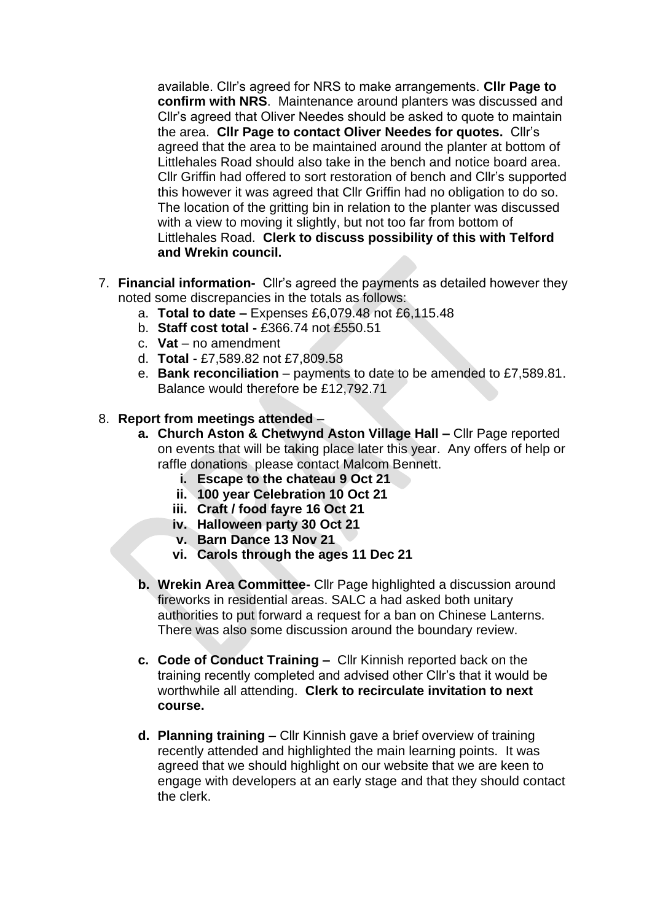available. Cllr's agreed for NRS to make arrangements. **Cllr Page to confirm with NRS**. Maintenance around planters was discussed and Cllr's agreed that Oliver Needes should be asked to quote to maintain the area. **Cllr Page to contact Oliver Needes for quotes.** Cllr's agreed that the area to be maintained around the planter at bottom of Littlehales Road should also take in the bench and notice board area. Cllr Griffin had offered to sort restoration of bench and Cllr's supported this however it was agreed that Cllr Griffin had no obligation to do so. The location of the gritting bin in relation to the planter was discussed with a view to moving it slightly, but not too far from bottom of Littlehales Road. **Clerk to discuss possibility of this with Telford and Wrekin council.** 

- 7. **Financial information-** Cllr's agreed the payments as detailed however they noted some discrepancies in the totals as follows:
	- a. **Total to date –** Expenses £6,079.48 not £6,115.48
	- b. **Staff cost total -** £366.74 not £550.51
	- c. **Vat**  no amendment
	- d. **Total**  £7,589.82 not £7,809.58
	- e. **Bank reconciliation**  payments to date to be amended to £7,589.81. Balance would therefore be £12,792.71
- 8. **Report from meetings attended**
	- **a. Church Aston & Chetwynd Aston Village Hall –** Cllr Page reported on events that will be taking place later this year. Any offers of help or raffle donations please contact Malcom Bennett.
		- **i. Escape to the chateau 9 Oct 21**
		- **ii. 100 year Celebration 10 Oct 21**
		- **iii. Craft / food fayre 16 Oct 21**
		- **iv. Halloween party 30 Oct 21**
		- **v. Barn Dance 13 Nov 21**
		- **vi. Carols through the ages 11 Dec 21**
	- **b. Wrekin Area Committee-** Cllr Page highlighted a discussion around fireworks in residential areas. SALC a had asked both unitary authorities to put forward a request for a ban on Chinese Lanterns. There was also some discussion around the boundary review.
	- **c. Code of Conduct Training –** Cllr Kinnish reported back on the training recently completed and advised other Cllr's that it would be worthwhile all attending. **Clerk to recirculate invitation to next course.**
	- **d. Planning training** Cllr Kinnish gave a brief overview of training recently attended and highlighted the main learning points. It was agreed that we should highlight on our website that we are keen to engage with developers at an early stage and that they should contact the clerk.